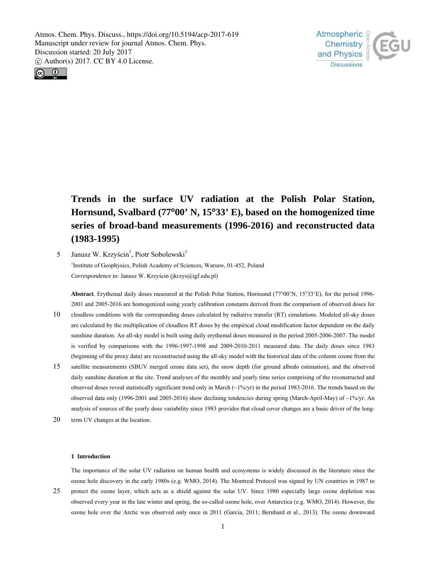



**Trends in the surface UV radiation at the Polish Polar Station, Hornsund, Svalbard (77∞00' N, 15∞33' E), based on the homogenized time series of broad-band measurements (1996-2016) and reconstructed data (1983-1995)** 

5 Janusz W. Krzyścin<sup>1</sup>, Piotr Sobolewski<sup>1</sup> <sup>1</sup>Institute of Geophysics, Polish Academy of Sciences, Warsaw, 01-452, Poland *Correspondence to*: Janusz W. Krzyścin (jkrzys@igf.edu.pl)

Abstract. Erythemal daily doses measured at the Polish Polar Station, Hornsund (77°00'N, 15°33'E), for the period 1996-2001 and 2005-2016 are homogenized using yearly calibration constants derived from the comparison of observed doses for

- 10 cloudless conditions with the corresponding doses calculated by radiative transfer (RT) simulations. Modeled all-sky doses are calculated by the multiplication of cloudless RT doses by the empirical cloud modification factor dependent on the daily sunshine duration. An all-sky model is built using daily erythemal doses measured in the period 2005-2006-2007. The model is verified by comparisons with the 1996-1997-1998 and 2009-2010-2011 measured data. The daily doses since 1983 (beginning of the proxy data) are reconstructed using the all-sky model with the historical data of the column ozone from the
- 15 satellite measurements (SBUV merged ozone data set), the snow depth (for ground albedo estimation), and the observed daily sunshine duration at the site. Trend analyses of the monthly and yearly time series comprising of the reconstructed and observed doses reveal statistically significant trend only in March (~1%/yr) in the period 1983-2016. The trends based on the observed data only (1996-2001 and 2005-2016) show declining tendencies during spring (March-April-May) of ~1%/yr. An analysis of sources of the yearly dose variability since 1983 provides that cloud cover changes are a basic driver of the long-
- 20 term UV changes at the location.

#### **1 Introduction**

25 The importance of the solar UV radiation on human health and ecosystems is widely discussed in the literature since the ozone hole discovery in the early 1980s (e.g. WMO, 2014). The Montreal Protocol was signed by UN countries in 1987 to protect the ozone layer, which acts as a shield against the solar UV. Since 1980 especially large ozone depletion was observed every year in the late winter and spring, the so-called ozone hole, over Antarctica (e.g. WMO, 2014). However, the ozone hole over the Arctic was observed only once in 2011 (Garcia, 2011; Bernhard et al., 2013). The ozone downward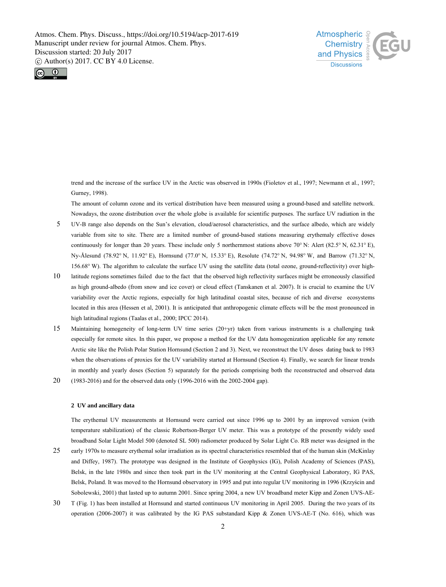



trend and the increase of the surface UV in the Arctic was observed in 1990s (Fioletov et al., 1997; Newmann et al., 1997; Gurney, 1998).

The amount of column ozone and its vertical distribution have been measured using a ground-based and satellite network. Nowadays, the ozone distribution over the whole globe is available for scientific purposes. The surface UV radiation in the

- 5 UV-B range also depends on the Sun's elevation, cloud/aerosol characteristics, and the surface albedo, which are widely variable from site to site. There are a limited number of ground-based stations measuring erythemaly effective doses continuously for longer than 20 years. These include only 5 northernmost stations above 70 $^{\circ}$  N: Alert (82.5 $^{\circ}$  N, 62.31 $^{\circ}$  E), Ny-Ålesund (78.92 $\degree$  N, 11.92 $\degree$  E), Hornsund (77.0 $\degree$  N, 15.33 $\degree$  E), Resolute (74.72 $\degree$  N, 94.98 $\degree$  W, and Barrow (71.32 $\degree$  N, 156.68° W). The algorithm to calculate the surface UV using the satellite data (total ozone, ground-reflectivity) over high-
- 10 latitude regions sometimes failed due to the fact that the observed high reflectivity surfaces might be erroneously classified as high ground-albedo (from snow and ice cover) or cloud effect (Tanskanen et al. 2007). It is crucial to examine the UV variability over the Arctic regions, especially for high latitudinal coastal sites, because of rich and diverse ecosystems located in this area (Hessen et al, 2001). It is anticipated that anthropogenic climate effects will be the most pronounced in high latitudinal regions (Taalas et al., 2000; IPCC 2014).
- 15 Maintaining homogeneity of long-term UV time series (20+yr) taken from various instruments is a challenging task especially for remote sites. In this paper, we propose a method for the UV data homogenization applicable for any remote Arctic site like the Polish Polar Station Hornsund (Section 2 and 3). Next, we reconstruct the UV doses dating back to 1983 when the observations of proxies for the UV variability started at Hornsund (Section 4). Finally, we search for linear trends in monthly and yearly doses (Section 5) separately for the periods comprising both the reconstructed and observed data
- 20 (1983-2016) and for the observed data only (1996-2016 with the 2002-2004 gap).

## **2 UV and ancillary data**

The erythemal UV measurements at Hornsund were carried out since 1996 up to 2001 by an improved version (with temperature stabilization) of the classic Robertson-Berger UV meter. This was a prototype of the presently widely used broadband Solar Light Model 500 (denoted SL 500) radiometer produced by Solar Light Co. RB meter was designed in the

- 25 early 1970s to measure erythemal solar irradiation as its spectral characteristics resembled that of the human skin (McKinlay and Diffey, 1987). The prototype was designed in the Institute of Geophysics (IG), Polish Academy of Sciences (PAS), Belsk, in the late 1980s and since then took part in the UV monitoring at the Central Geophysical Laboratory, IG PAS, Belsk, Poland. It was moved to the Hornsund observatory in 1995 and put into regular UV monitoring in 1996 (Krzyścin and Sobolewski, 2001) that lasted up to autumn 2001. Since spring 2004, a new UV broadband meter Kipp and Zonen UVS-AE-
- 30 T (Fig. 1) has been installed at Hornsund and started continuous UV monitoring in April 2005. During the two years of its operation (2006-2007) it was calibrated by the IG PAS substandard Kipp & Zonen UVS-AE-T (No. 616), which was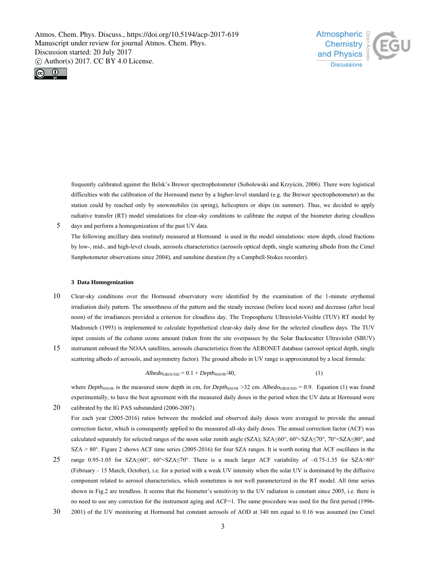



5

20

frequently calibrated against the Belsk's Brewer spectrophotometer (Sobolewski and Krzyścin, 2006). There were logistical difficulties with the calibration of the Hornsund meter by a higher-level standard (e.g. the Brewer spectrophotometer) as the station could by reached only by snowmobiles (in spring), helicopters or ships (in summer). Thus, we decided to apply radiative transfer (RT) model simulations for clear-sky conditions to calibrate the output of the biometer during cloudless

days and perform a homogenization of the past UV data. The following ancillary data routinely measured at Hornsund is used in the model simulations: snow depth, cloud fractions by low-, mid-, and high-level clouds, aerosols characteristics (aerosols optical depth, single scattering albedo from the Cimel Sunphotometer observations since 2004), and sunshine duration (by a Campbell-Stokes recorder).

#### **3 Data Homogenization**

- 10 Clear-sky conditions over the Hornsund observatory were identified by the examination of the 1-minute erythemal irradiation daily pattern. The smoothness of the pattern and the steady increase (before local noon) and decrease (after local noon) of the irradiances provided a criterion for cloudless day. The Tropospheric Ultraviolet-Visible (TUV) RT model by Madronich (1993) is implemented to calculate hypothetical clear-sky daily dose for the selected cloudless days. The TUV input consists of the column ozone amount (taken from the site overpasses by the Solar Backscatter Ultraviolet (SBUV)
- 15 instrument onboard the NOAA satellites, aerosols characteristics from the AERONET database (aerosol optical depth, single scattering albedo of aerosols, and asymmetry factor). The ground albedo in UV range is approximated by a local formula:

$$
Albedo_{\rm GROUND} = 0.1 + Depth_{\rm SNOW}/40,
$$
\n(1)

where *Depth*<sub>SNOW</sub> is the measured snow depth in cm, for *Depth<sub>SNOW</sub>* >32 cm. *Albedo<sub>GROUND</sub>* = 0.9. Equation (1) was found experimentally, to have the best agreement with the measured daily doses in the period when the UV data at Hornsund were calibrated by the IG PAS substandard (2006-2007).

For each year (2005-2016) ratios between the modeled and observed daily doses were averaged to provide the annual correction factor, which is consequently applied to the measured all-sky daily doses. The annual correction factor (ACF) was calculated separately for selected ranges of the noon solar zenith angle (SZA); SZA≤60°, 60°<SZA≤70°, 70°<SZA≤80°, and SZA > 80°. Figure 2 shows ACF time series (2005-2016) for four SZA ranges. It is worth noting that ACF oscillates in the

- 25 range 0.95-1.05 for SZA≤60°, 60°<SZA≤70°. There is a much larger ACF variability of ~0.75-1.35 for SZA>80° (February – 15 March, October), i.e. for a period with a weak UV intensity when the solar UV is dominated by the diffusive component related to aerosol characteristics, which sometimes is not well parameterized in the RT model. All time series shown in Fig.2 are trendless. It seems that the biometer's sensitivity to the UV radiation is constant since 2005, i.e. there is no need to use any correction for the instrument aging and ACF=1. The same procedure was used for the first period (1996-
- 30 2001) of the UV monitoring at Hornsund but constant aerosols of AOD at 340 nm equal to 0.16 was assumed (no Cimel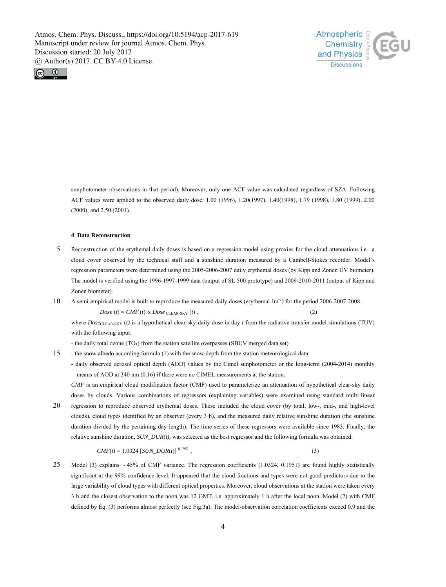



15

sunphotometer observations in that period). Moreover, only one ACF value was calculated regardless of SZA. Following ACF values were applied to the observed daily dose: 1.00 (1996), 1.20(1997), 1.40(1998), 1.79 (1998), 1.80 (1999), 2.00 (2000), and 2.50 (2001).

## **4 Data Reconstruction**

- 5 Reconstruction of the erythemal daily doses is based on a regression model using proxies for the cloud attenuations i.e. a cloud cover observed by the technical staff and a sunshine duration measured by a Cambell-Stokes recorder. Model's regression parameters were determined using the 2005-2006-2007 daily erythemal doses (by Kipp and Zonen UV biometer). The model is verified using the 1996-1997-1999 data (output of SL 500 prototype) and 2009-2010-2011 (output of Kipp and Zonen biometer).
- 10 A semi-empirical model is built to reproduce the measured daily doses (erythemal  $\text{Jm}^2$ ) for the period 2006-2007-2008.

 $Dose(t) = CMF(t) \times Does$   $\text{CLEAR-SKY}(t)$ , (2)

where *Dose*<sub>CLEAR-SKY</sub> (*t*) is a hypothetical clear-sky daily dose in day *t* from the radiative transfer model simulations (TUV) with the following input:

- the daily total ozone (TO<sub>3</sub>) from the station satellite overpasses (SBUV merged data set)

- the snow albedo according formula (1) with the snow depth from the station meteorological data
- daily observed aerosol optical depth (AOD) values by the Cimel sunphotometer or the long-term (2004-2014) monthly means of AOD at 340 nm (0.16) if there were no CIMEL measurements at the station.

*CMF* is an empirical cloud modification factor (CMF) used to parameterize an attenuation of hypothetical clear-sky daily doses by clouds. Various combinations of regressors (explaining variables) were examined using standard multi-linear

20 regression to reproduce observed erythemal doses. These included the cloud cover (by total, low-, mid-, and high-level clouds), cloud types identified by an observer (every 3 h), and the measured daily relative sunshine duration (the sunshine duration divided by the pertaining day length). The time series of these regressors were available since 1983. Finally, the relative sunshine duration, *SUN\_DUR*(*t),* was selected as the best regressor and the following formula was obtained:

$$
CMF(t) = 1.0324 \left[ SUN\_DUR(t) \right]^{0.1951},\tag{3}
$$

25 Model (3) explains  $\sim$  45% of CMF variance. The regression coefficients (1.0324, 0.1951) are found highly statistically significant at the 99% confidence level. It appeared that the cloud fractions and types were not good predictors due to the large variability of cloud types with different optical properties. Moreover, cloud observations at the station were taken every 3 h and the closest observation to the noon was 12 GMT, i.e. approximately 1 h after the local noon. Model (2) with CMF defined by Eq. (3) performs almost perfectly (see Fig.3a). The model-observation correlation coefficients exceed 0.9 and the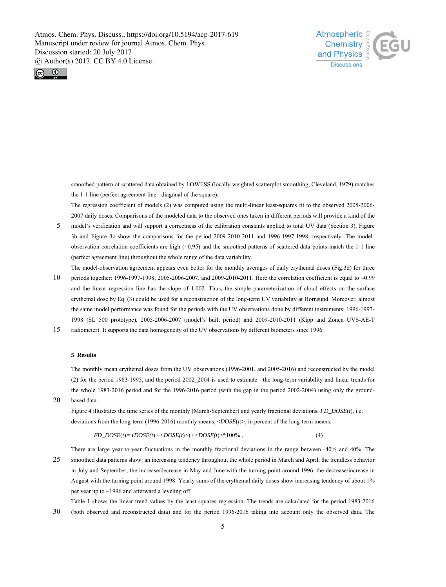



smoothed pattern of scattered data obtained by LOWESS (locally weighted scatterplot smoothing, Cleveland, 1979) matches the 1-1 line (perfect agreement line - diagonal of the square).

The regression coefficient of models (2) was computed using the multi-linear least-squares fit to the observed 2005-2006- 2007 daily doses. Comparisons of the modeled data to the observed ones taken in different periods will provide a kind of the

- 5 model's verification and will support a correctness of the calibration constants applied to total UV data (Section 3). Figure 3b and Figure 3c show the comparisons for the period 2009-2010-2011 and 1996-1997-1998, respectively. The modelobservation correlation coefficients are high  $(-0.95)$  and the smoothed patterns of scattered data points match the 1-1 line (perfect agreement line) throughout the whole range of the data variability.
- 10 The model-observation agreement appears even better for the monthly averages of daily erythemal doses (Fig.3d) for three periods together: 1996-1997-1998, 2005-2006-2007, and 2009-2010-2011. Here the correlation coefficient is equal to ~0.99 and the linear regression line has the slope of 1.002. Thus, the simple parameterization of cloud effects on the surface erythemal dose by Eq. (3) could be used for a reconstruction of the long-term UV variability at Hornsund. Moreover, almost the same model performance was found for the periods with the UV observations done by different instruments: 1996-1997- 1998 (SL 500 prototype), 2005-2006-2007 (model's built period) and 2009-2010-2011 (Kipp and Zonen UVS-AE-T
- 15 radiometer). It supports the data homogeneity of the UV observations by different biometers since 1996.

# **5 Results**

The monthly mean erythemal doses from the UV observations (1996-2001, and 2005-2016) and reconstructed by the model (2) for the period 1983-1995, and the period 2002\_2004 is used to estimate the long-term variability and linear trends for the whole 1983-2016 period and for the 1996-2016 period (with the gap in the period 2002-2004) using only the ground-

20 based data.

> Figure 4 illustrates the time series of the monthly (March-September) and yearly fractional deviations, *FD\_DOSE*(*t*), i.e. deviations from the long-term (1996-2016) monthly means, <*DOSE*(*t*)>, in percent of the long-term means:

$$
FD\_DOSE(t) = (DOSE(t) - \langle DOSE(t) \rangle) / \langle DOSE(t) \rangle * 100\%, \tag{4}
$$

25 There are large year-to-year fluctuations in the monthly fractional deviations in the range between -40% and 40%. The smoothed data patterns show: an increasing tendency throughout the whole period in March and April, the trendless behavior in July and September, the increase/decrease in May and June with the turning point around 1996, the decrease/increase in August with the turning point around 1998. Yearly sums of the erythemal daily doses show increasing tendency of about 1% per year up to ~1996 and afterward a leveling off.

30 Table 1 shows the linear trend values by the least-squares regression. The trends are calculated for the period 1983-2016 (both observed and reconstructed data) and for the period 1996-2016 taking into account only the observed data. The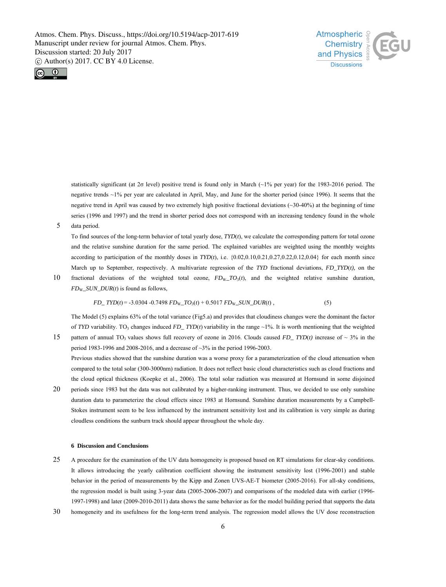



statistically significant (at 2σ level) positive trend is found only in March (~1% per year) for the 1983-2016 period. The negative trends ~1% per year are calculated in April, May, and June for the shorter period (since 1996). It seems that the negative trend in April was caused by two extremely high positive fractional deviations (~30-40%) at the beginning of time series (1996 and 1997) and the trend in shorter period does not correspond with an increasing tendency found in the whole

5 data period.

15

To find sources of the long-term behavior of total yearly dose, *TYD*(*t*), we calculate the corresponding pattern for total ozone and the relative sunshine duration for the same period. The explained variables are weighted using the monthly weights according to participation of the monthly doses in  $T Y D(t)$ , i.e.  $\{0.02, 0.10, 0.21, 0.27, 0.22, 0.12, 0.04\}$  for each month since March up to September, respectively. A multivariate regression of the *TYD* fractional deviations, *FD\_TYD*(*t),* on the

10 fractional deviations of the weighted total ozone,  $FD_{\text{W}}$  $TO_{3}(t)$ , and the weighted relative sunshine duration, *FD*W*\_SUN\_DUR*(*t*) is found as follows,

$$
FD_{-}TYD(t) = -3.0304 -0.7498 FD_{W_{-}}TO_{3}(t) + 0.5017 FD_{W_{-}}SUN_{-}DUR(t),
$$
\n(5)

The Model (5) explains 63% of the total variance (Fig5.a) and provides that cloudiness changes were the dominant the factor of *TYD* variability. TO<sub>3</sub> changes induced *FD\_TYD*(*t*) variability in the range ~1%. It is worth mentioning that the weighted pattern of annual TO<sub>3</sub> values shows full recovery of ozone in 2016. Clouds caused  $FD$  *TYD(t)* increase of ~ 3% in the period 1983-1996 and 2008-2016, and a decrease of ~3% in the period 1996-2003.

Previous studies showed that the sunshine duration was a worse proxy for a parameterization of the cloud attenuation when compared to the total solar (300-3000nm) radiation. It does not reflect basic cloud characteristics such as cloud fractions and the cloud optical thickness (Koepke et al., 2006). The total solar radiation was measured at Hornsund in some disjoined

20 periods since 1983 but the data was not calibrated by a higher-ranking instrument. Thus, we decided to use only sunshine duration data to parameterize the cloud effects since 1983 at Hornsund. Sunshine duration measurements by a Campbell-Stokes instrument seem to be less influenced by the instrument sensitivity lost and its calibration is very simple as during cloudless conditions the sunburn track should appear throughout the whole day.

## **6 Discussion and Conclusions**

- 25 A procedure for the examination of the UV data homogeneity is proposed based on RT simulations for clear-sky conditions. It allows introducing the yearly calibration coefficient showing the instrument sensitivity lost (1996-2001) and stable behavior in the period of measurements by the Kipp and Zonen UVS-AE-T biometer (2005-2016). For all-sky conditions, the regression model is built using 3-year data (2005-2006-2007) and comparisons of the modeled data with earlier (1996- 1997-1998) and later (2009-2010-2011) data shows the same behavior as for the model building period that supports the data
- 30 homogeneity and its usefulness for the long-term trend analysis. The regression model allows the UV dose reconstruction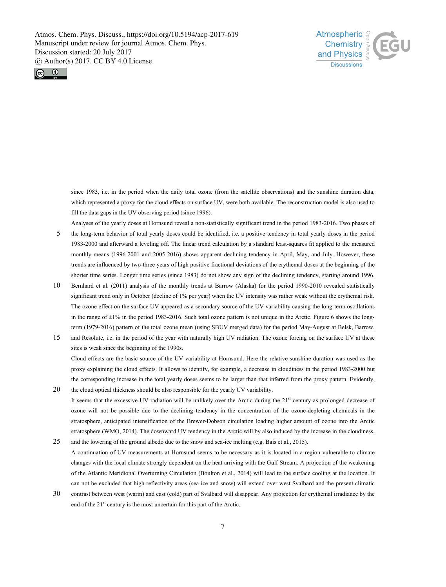



since 1983, i.e. in the period when the daily total ozone (from the satellite observations) and the sunshine duration data, which represented a proxy for the cloud effects on surface UV, were both available. The reconstruction model is also used to fill the data gaps in the UV observing period (since 1996).

Analyses of the yearly doses at Hornsund reveal a non-statistically significant trend in the period 1983-2016. Two phases of

- 5 the long-term behavior of total yearly doses could be identified, i.e. a positive tendency in total yearly doses in the period 1983-2000 and afterward a leveling off. The linear trend calculation by a standard least-squares fit applied to the measured monthly means (1996-2001 and 2005-2016) shows apparent declining tendency in April, May, and July. However, these trends are influenced by two-three years of high positive fractional deviations of the erythemal doses at the beginning of the shorter time series. Longer time series (since 1983) do not show any sign of the declining tendency, starting around 1996.
- 10 Bernhard et al. (2011) analysis of the monthly trends at Barrow (Alaska) for the period 1990-2010 revealed statistically significant trend only in October (decline of 1% per year) when the UV intensity was rather weak without the erythemal risk. The ozone effect on the surface UV appeared as a secondary source of the UV variability causing the long-term oscillations in the range of  $\pm 1\%$  in the period 1983-2016. Such total ozone pattern is not unique in the Arctic. Figure 6 shows the longterm (1979-2016) pattern of the total ozone mean (using SBUV merged data) for the period May-August at Belsk, Barrow,
- 15 and Resolute, i.e. in the period of the year with naturally high UV radiation. The ozone forcing on the surface UV at these sites is weak since the beginning of the 1990s. Cloud effects are the basic source of the UV variability at Hornsund. Here the relative sunshine duration was used as the proxy explaining the cloud effects. It allows to identify, for example, a decrease in cloudiness in the period 1983-2000 but the corresponding increase in the total yearly doses seems to be larger than that inferred from the proxy pattern. Evidently,
- 20 the cloud optical thickness should be also responsible for the yearly UV variability. It seems that the excessive UV radiation will be unlikely over the Arctic during the  $21<sup>st</sup>$  century as prolonged decrease of ozone will not be possible due to the declining tendency in the concentration of the ozone-depleting chemicals in the stratosphere, anticipated intensification of the Brewer-Dobson circulation loading higher amount of ozone into the Arctic stratosphere (WMO, 2014). The downward UV tendency in the Arctic will by also induced by the increase in the cloudiness,
- 25 and the lowering of the ground albedo due to the snow and sea-ice melting (e.g. Bais et al., 2015). A continuation of UV measurements at Hornsund seems to be necessary as it is located in a region vulnerable to climate changes with the local climate strongly dependent on the heat arriving with the Gulf Stream. A projection of the weakening of the Atlantic Meridional Overturning Circulation (Boulton et al., 2014) will lead to the surface cooling at the location. It can not be excluded that high reflectivity areas (sea-ice and snow) will extend over west Svalbard and the present climatic
- 30 contrast between west (warm) and east (cold) part of Svalbard will disappear. Any projection for erythemal irradiance by the end of the  $21<sup>st</sup>$  century is the most uncertain for this part of the Arctic.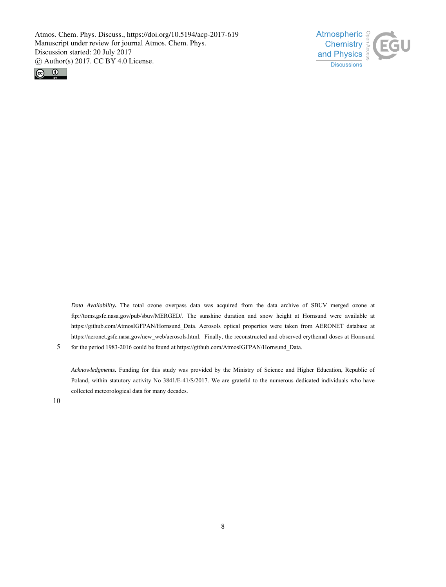



*Data Availability***.** The total ozone overpass data was acquired from the data archive of SBUV merged ozone at ftp://toms.gsfc.nasa.gov/pub/sbuv/MERGED/. The sunshine duration and snow height at Hornsund were available at https://github.com/AtmosIGFPAN/Hornsund\_Data. Aerosols optical properties were taken from AERONET database at https://aeronet.gsfc.nasa.gov/new\_web/aerosols.html. Finally, the reconstructed and observed erythemal doses at Hornsund for the period 1983-2016 could be found at https://github.com/AtmosIGFPAN/Hornsund\_Data.

*Acknowledgments***.** Funding for this study was provided by the Ministry of Science and Higher Education, Republic of Poland, within statutory activity No 3841/E-41/S/2017. We are grateful to the numerous dedicated individuals who have collected meteorological data for many decades.

10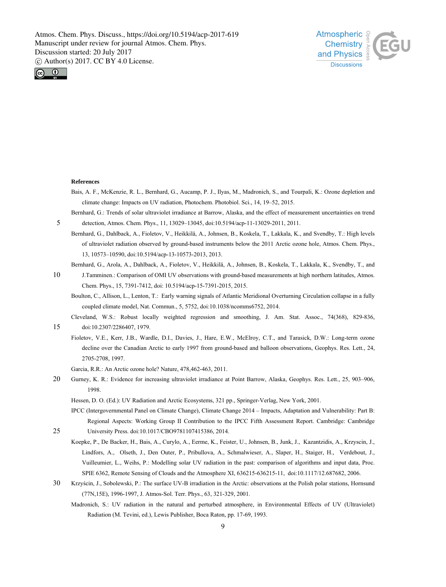



#### **References**

5

25

- Bais, A. F., McKenzie, R. L., Bernhard, G., Aucamp, P. J., Ilyas, M., Madronich, S., and Tourpali, K.: Ozone depletion and climate change: Impacts on UV radiation, Photochem. Photobiol. Sci., 14, 19–52, 2015.
- Bernhard, G.: Trends of solar ultraviolet irradiance at Barrow, Alaska, and the effect of measurement uncertainties on trend detection, Atmos. Chem. Phys., 11, 13029–13045, doi:10.5194/acp-11-13029-2011, 2011.
- Bernhard, G., Dahlback, A., Fioletov, V., Heikkilä, A., Johnsen, B., Koskela, T., Lakkala, K., and Svendby, T.: High levels of ultraviolet radiation observed by ground-based instruments below the 2011 Arctic ozone hole, Atmos. Chem. Phys., 13, 10573–10590, doi:10.5194/acp-13-10573-2013, 2013.
- 10 Bernhard, G., Arola, A., Dahlback, A., Fioletov, V., Heikkilä, A., Johnsen, B., Koskela, T., Lakkala, K., Svendby, T., and J.Tamminen.: Comparison of OMI UV observations with ground-based measurements at high northern latitudes, Atmos.
	- Boulton, C., Allison, L., Lenton, T.: Early warning signals of Atlantic Meridional Overturning Circulation collapse in a fully coupled climate model, Nat. Commun., 5, 5752, doi:10.1038/ncomms6752, 2014.
- 15 Cleveland, W.S.: Robust locally weighted regression and smoothing, J. Am. Stat. Assoc., 74(368), 829-836, doi:10.2307/2286407, 1979.
	- Fioletov, V.E., Kerr, J.B., Wardle, D.I., Davies, J., Hare, E.W., McElroy, C.T., and Tarasick, D.W.: Long-term ozone decline over the Canadian Arctic to early 1997 from ground-based and balloon observations, Geophys. Res. Lett., 24, 2705-2708, 1997.
	- Garcia, R.R.: An Arctic ozone hole? Nature, 478,462-463, 2011.

Chem. Phys., 15, 7391-7412, doi: 10.5194/acp-15-7391-2015, 2015.

20 Gurney, K. R.: Evidence for increasing ultraviolet irradiance at Point Barrow, Alaska, Geophys. Res. Lett., 25, 903–906, 1998.

Hessen, D. O. (Ed.): UV Radiation and Arctic Ecosystems, 321 pp., Springer-Verlag, New York, 2001.

- IPCC (Intergovernmental Panel on Climate Change), Climate Change 2014 Impacts, Adaptation and Vulnerability: Part B: Regional Aspects: Working Group II Contribution to the IPCC Fifth Assessment Report. Cambridge: Cambridge University Press. doi:10.1017/CBO9781107415386, 2014.
- Koepke, P., De Backer, H., Bais, A., Curylo, A., Eerme, K., Feister, U., Johnsen, B., Junk, J., Kazantzidis, A., Krzyscin, J., Lindfors, A., Olseth, J., Den Outer, P., Pribullova, A., Schmalwieser, A., Slaper, H., Staiger, H., Verdebout, J., Vuilleumier, L., Weihs, P.: Modelling solar UV radiation in the past: comparison of algorithms and input data, Proc. SPIE 6362, Remote Sensing of Clouds and the Atmosphere XI, 636215-636215-11, doi:10.1117/12.687682, 2006.
- 30 Krzyścin, J., Sobolewski, P.: The surface UV-B irradiation in the Arctic: observations at the Polish polar stations, Hornsund (77N,15E), 1996-1997, J. Atmos-Sol. Terr. Phys., 63, 321-329, 2001.
	- Madronich, S.: UV radiation in the natural and perturbed atmosphere, in Environmental Effects of UV (Ultraviolet) Radiation (M. Tevini, ed.), Lewis Publisher, Boca Raton, pp. 17-69, 1993.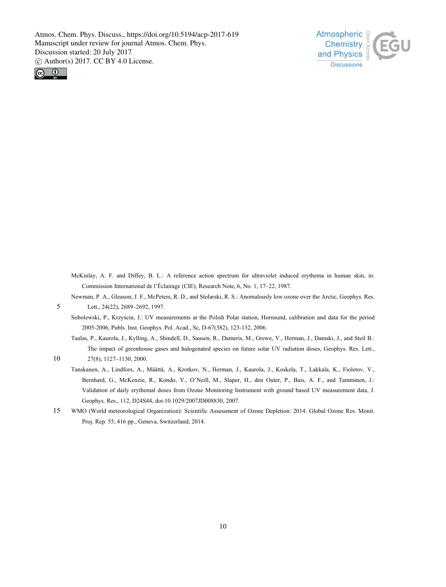



McKinlay, A. F. and Diffey, B. L.: A reference action spectrum for ultraviolet induced erythema in human skin, in: Commission International de l'Éclairage (CIE), Research Note, 6, No. 1, 17–22, 1987.

Newman, P. A., Gleason, J. F., McPeters, R. D., and Stolarski, R. S.: Anomalously low ozone over the Arctic, Geophys. Res. Lett., 24(22), 2689–2692, 1997.

- Sobolewski, P., Krzyścin, J.: UV measurements at the Polish Polar station, Hornsund, calibration and data for the period 2005-2006, Publs. Inst. Geophys. Pol. Acad., Sc, D-67(382), 123-132, 2006.
- Taalas, P., Kaurola, J., Kylling, A., Shindell, D., Sausen, R., Dameris, M., Grewe, V., Herman, J., Damski, J., and Steil B.: The impact of greenhouse gases and halogenated species on future solar UV radiation doses, Geophys. Res. Lett., 27(8), 1127–1130, 2000.

10

- Tanskanen, A., Lindfors, A., Määttä, A., Krotkov, N., Herman, J., Kaurola, J., Koskela, T., Lakkala, K., Fioletov, V., Bernhard, G., McKenzie, R., Kondo, Y., O'Neill, M., Slaper, H., den Outer, P., Bais, A. F., and Tamminen, J.: Validation of daily erythemal doses from Ozone Monitoring Instrument with ground based UV measurement data, J. Geophys. Res., 112, D24S44, doi:10.1029/2007JD008830, 2007.
- 15 WMO (World meteorological Organization): Scientific Assessment of Ozone Depletion: 2014. Global Ozone Res. Monit. Proj. Rep. 55, 416 pp., Geneva, Switzerland, 2014.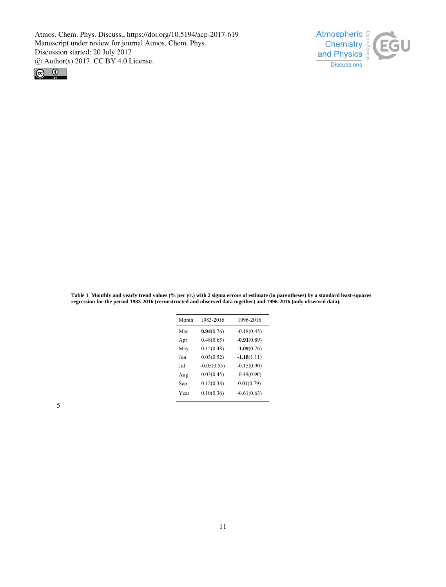



**Table 1**. **Monthly and yearly trend values (% per yr.) with 2 sigma errors of estimate (in parentheses) by a standard least-squares regression for the period 1983-2016 (reconstructed and observed data together) and 1996-2016 (only observed data).** 

| Month | 1983-2016     | 1996-2016     |
|-------|---------------|---------------|
| Mar   | 0.94(0.76)    | $-0.18(0.45)$ |
| Apr   | 0.48(0.65)    | $-0.91(0.89)$ |
| May   | 0.15(0.48)    | $-1.09(0.76)$ |
| Jun   | 0.03(0.52)    | $-1.18(1.11)$ |
| Jul   | $-0.05(0.55)$ | $-0.15(0.90)$ |
| Aug   | 0.03(0.45)    | 0.49(0.90)    |
| Sep   | 0.12(0.38)    | 0.01(0.79)    |
| Year  | 0.10(0.36)    | $-0.61(0.63)$ |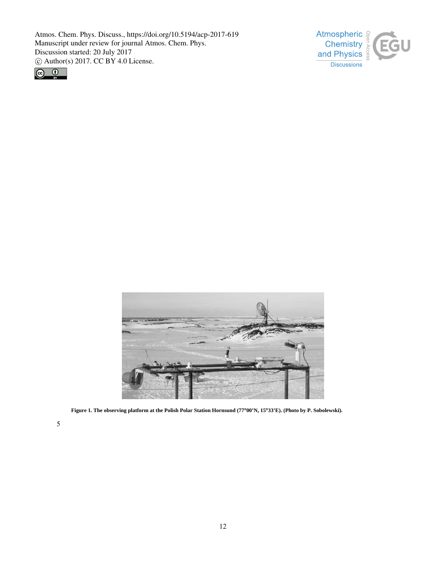





**Figure 1. The observing platform at the Polish Polar Station Hornsund (77∞00'N, 15∞33'E). (Photo by P. Sobolewski).**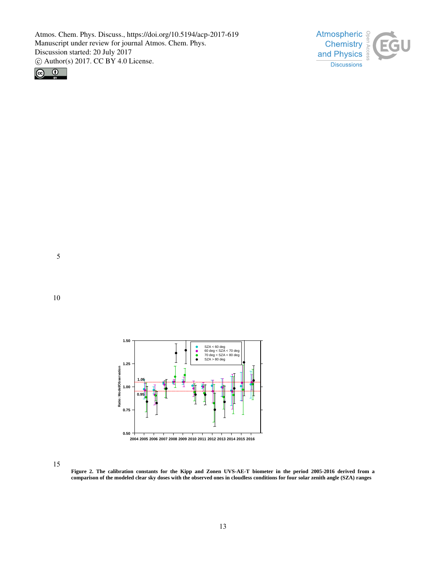



5





**Figure 2. The calibration constants for the Kipp and Zonen UVS-AE-T biometer in the period 2005-2016 derived from a comparison of the modeled clear sky doses with the observed ones in cloudless conditions for four solar zenith angle (SZA) ranges**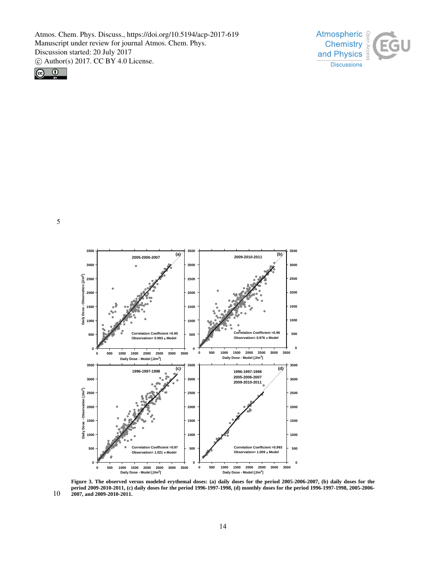





 **Figure 3. The observed versus modeled erythemal doses: (a) daily doses for the period 2005-2006-2007, (b) daily doses for the period 2009-2010-2011, (c) daily doses for the period 1996-1997-1998, (d) monthly doses for the period 1996-1997-1998, 2005-2006- 2007, and 2009-2010-2011.**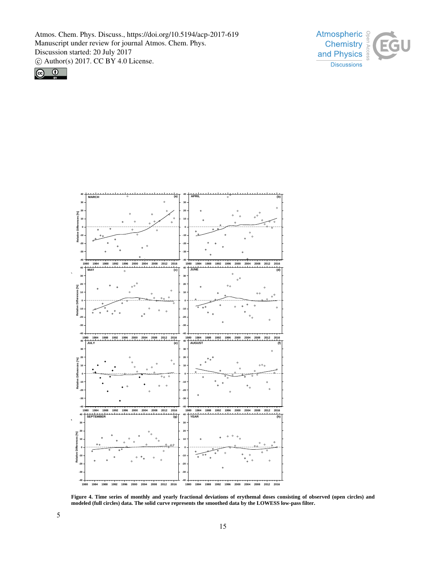





**Figure 4. Time series of monthly and yearly fractional deviations of erythemal doses consisting of observed (open circles) and modeled (full circles) data. The solid curve represents the smoothed data by the LOWESS low-pass filter.**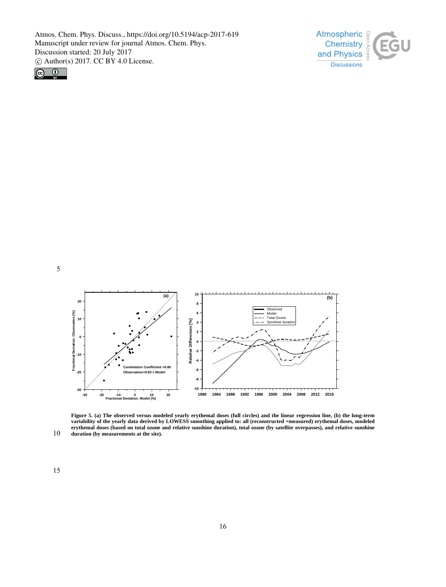



5



10 **Figure 5. (a) The observed versus modeled yearly erythemal doses (full circles) and the linear regression line, (b) the long-term variability of the yearly data derived by LOWESS smoothing applied to: all (reconstructed +measured) erythemal doses, modeled erythemal doses (based on total ozone and relative sunshine duration), total ozone (by satellite overpasses), and relative sunshine duration (by measurements at the site).**